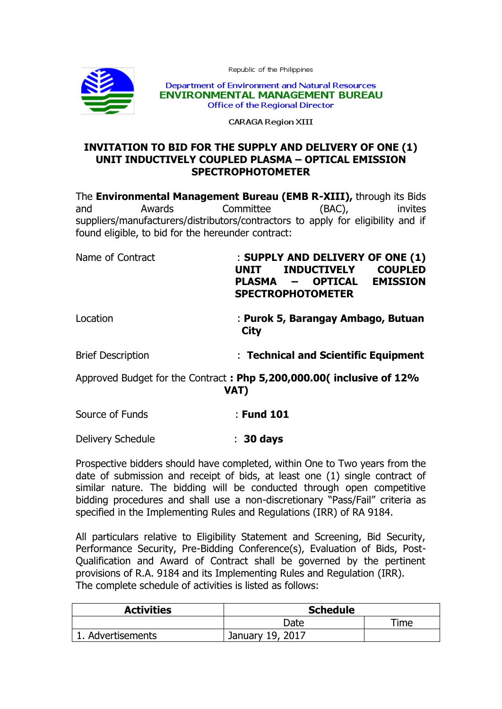Republic of the Philippines



Department of Environment and Natural Resources **ENVIRONMENTAL MANAGEMENT BUREAU Office of the Regional Director** 

**CARAGA Region XIII** 

## **INVITATION TO BID FOR THE SUPPLY AND DELIVERY OF ONE (1) UNIT INDUCTIVELY COUPLED PLASMA – OPTICAL EMISSION SPECTROPHOTOMETER**

The **Environmental Management Bureau (EMB R-XIII),** through its Bids and Awards Committee (BAC), invites suppliers/manufacturers/distributors/contractors to apply for eligibility and if found eligible, to bid for the hereunder contract:

Name of Contract : **SUPPLY AND DELIVERY OF ONE (1) UNIT INDUCTIVELY COUPLED PLASMA – OPTICAL EMISSION SPECTROPHOTOMETER** 

Location : **Purok 5, Barangay Ambago, Butuan**  *City City* 

Brief Description : **Technical and Scientific Equipment**

Approved Budget for the Contract **: Php 5,200,000.00( inclusive of 12% VAT)**

Source of Funds : **Fund 101**

Delivery Schedule : **30 days**

Prospective bidders should have completed, within One to Two years from the date of submission and receipt of bids, at least one (1) single contract of similar nature. The bidding will be conducted through open competitive bidding procedures and shall use a non-discretionary "Pass/Fail" criteria as specified in the Implementing Rules and Regulations (IRR) of RA 9184.

All particulars relative to Eligibility Statement and Screening, Bid Security, Performance Security, Pre-Bidding Conference(s), Evaluation of Bids, Post-Qualification and Award of Contract shall be governed by the pertinent provisions of R.A. 9184 and its Implementing Rules and Regulation (IRR). The complete schedule of activities is listed as follows:

| <b>Activities</b> | <b>Schedule</b>  |                 |  |
|-------------------|------------------|-----------------|--|
|                   | Date             | $\mathsf{Time}$ |  |
| 1. Advertisements | January 19, 2017 |                 |  |